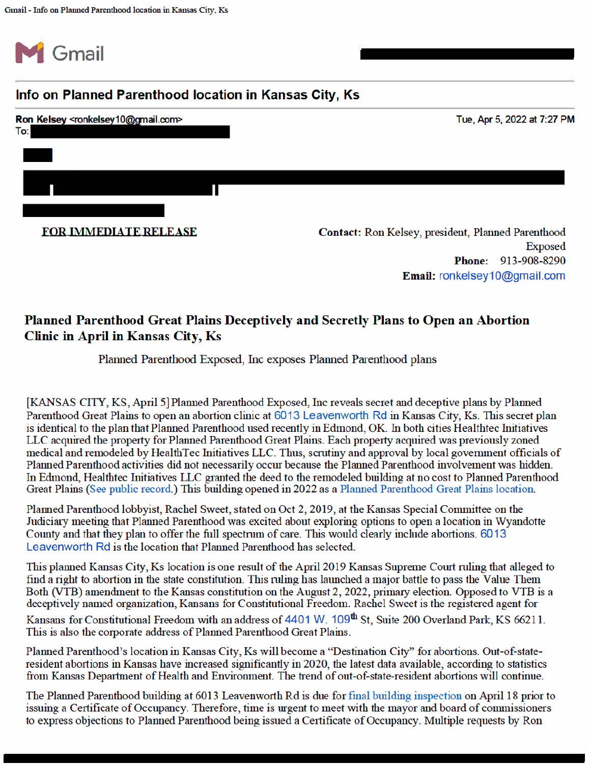

## Info on Planned Parenthood location in Kansas City, Ks



Email: ronkelsey10@gmail.com

## Planned Parenthood Great Plains Deceptively and Secretly Plans to Open an Abortion Clinic in April in Kansas City, Ks

## Planned Parenthood Exposed, Inc exposes Planned Parenthood plans

[KANSAS CITY, KS, April 5] Planned Parenthood Exposed, Inc reveals secret and deceptive plans by Planned Parenthood Great Plains to open an abortion clinic at 6013 Leavenworth Rd in Kansas City, Ks. This secret plan is identical to the plan that Planned Parenthood used recently in Edmond, OK. In both cities Healthtec Initiatives LLC acquired the property for Planned Parenthood Great Plains. Each property acquired was previously zoned medical and remodeled by HealthTec Initiatives LLC. Thus, scrutiny and approval by local government officials of Planned Parenthood activities did not necessarily occur because the Planned Parenthood involvement was hidden. In Edmond, Healthtec Initiatives LLC granted the deed to the remodeled building at no cost to Planned Parenthood Great Plains (See public record.) This building opened in 2022 as a Planned Parenthood Great Plains location.

Planned Parenthood lobbyist, Rachel Sweet, stated on Oct 2, 2019, at the Kansas Special Committee on the Judiciary meeting that Planned Parenthood was excited about exploring options to open a location in Wyandotte County and that they plan to offer the full spectrum of care. This would clearly include abortions, 6013 Leavenworth Rd is the location that Planned Parenthood has selected

This planned Kansas City, Ks location is one result of the April 2019 Kansas Supreme Court ruling that alleged to find a right to abortion in the state constitution. This ruling has launched a major battle to pass the Value Them Both (VTB) amendment to the Kansas constitution on the August 2, 2022, primary election. Opposed to VTB is a deceptively named organization, Kansans for Constitutional Freedom. Rachel Sweet is the registered agent for

Kansans for Constitutional Freedom with an address of 4401 W. 109<sup>th</sup> St, Suite 200 Overland Park, KS 66211. This is also the corporate address of Planned Parenthood Great Plains.

Planned Parenthood's location in Kansas City, Ks will become a "Destination City" for abortions. Out-of-stateresident abortions in Kansas have increased significantly in 2020, the latest data available, according to statistics from Kansas Department of Health and Environment. The trend of out-of-state-resident abortions will continue.

The Planned Parenthood building at 6013 Leavenworth Rd is due for final building inspection on April 18 prior to issuing a Certificate of Occupancy. Therefore, time is urgent to meet with the mayor and board of commissioners to express objections to Planned Parenthood being issued a Certificate of Occupancy. Multiple requests by Ron